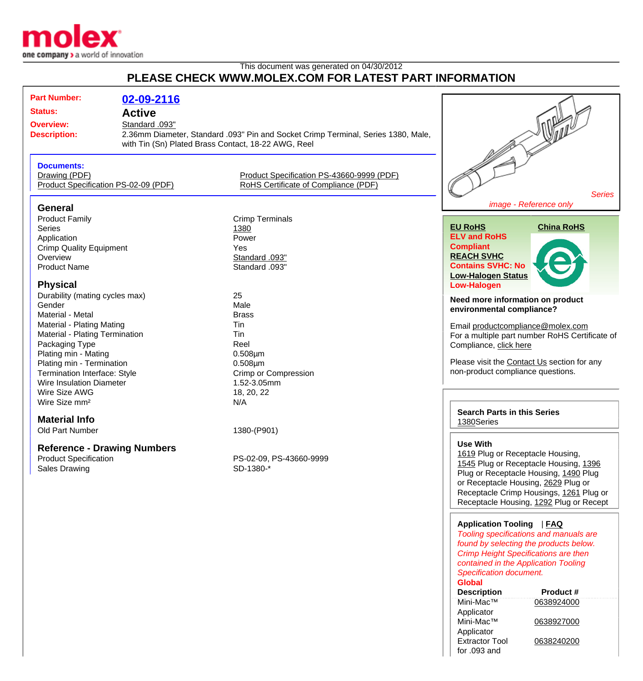

## This document was generated on 04/30/2012 **PLEASE CHECK WWW.MOLEX.COM FOR LATEST PART INFORMATION**

| <b>Part Number:</b>                  |                |                                                                                   |                                                |
|--------------------------------------|----------------|-----------------------------------------------------------------------------------|------------------------------------------------|
|                                      | 02-09-2116     |                                                                                   |                                                |
| <b>Status:</b>                       | <b>Active</b>  |                                                                                   |                                                |
| <b>Overview:</b>                     | Standard .093" |                                                                                   |                                                |
| <b>Description:</b>                  |                | 2.36mm Diameter, Standard .093" Pin and Socket Crimp Terminal, Series 1380, Male, |                                                |
|                                      |                | with Tin (Sn) Plated Brass Contact, 18-22 AWG, Reel                               |                                                |
|                                      |                |                                                                                   |                                                |
| <b>Documents:</b>                    |                |                                                                                   |                                                |
|                                      |                |                                                                                   |                                                |
| Drawing (PDF)                        |                | Product Specification PS-43660-9999 (PDF)                                         |                                                |
| Product Specification PS-02-09 (PDF) |                | RoHS Certificate of Compliance (PDF)                                              |                                                |
|                                      |                |                                                                                   | <b>Series</b>                                  |
| <b>General</b>                       |                |                                                                                   | image - Reference only                         |
| <b>Product Family</b>                |                | <b>Crimp Terminals</b>                                                            |                                                |
| <b>Series</b>                        |                | 1380                                                                              | <b>EU RoHS</b><br><b>China RoHS</b>            |
| Application                          |                | Power                                                                             | <b>ELV and RoHS</b>                            |
| <b>Crimp Quality Equipment</b>       |                | <b>Yes</b>                                                                        | <b>Compliant</b>                               |
| Overview                             |                | Standard .093"                                                                    | <b>REACH SVHC</b>                              |
| <b>Product Name</b>                  |                | Standard .093"                                                                    | <b>Contains SVHC: No</b>                       |
|                                      |                |                                                                                   | <b>Low-Halogen Status</b>                      |
| <b>Physical</b>                      |                |                                                                                   | <b>Low-Halogen</b>                             |
| Durability (mating cycles max)       |                | 25                                                                                |                                                |
| Gender                               |                | Male                                                                              | Need more information on product               |
| Material - Metal                     |                | <b>Brass</b>                                                                      | environmental compliance?                      |
|                                      |                | Tin                                                                               |                                                |
| Material - Plating Mating            |                | Tin                                                                               | Email productcompliance@molex.com              |
| Material - Plating Termination       |                | Reel                                                                              | For a multiple part number RoHS Certificate of |
| Packaging Type                       |                |                                                                                   | Compliance, click here                         |
| Plating min - Mating                 |                | $0.508 \mu m$                                                                     | Please visit the Contact Us section for any    |
| Plating min - Termination            |                | $0.508 \mu m$                                                                     |                                                |
| Termination Interface: Style         |                | Crimp or Compression                                                              | non-product compliance questions.              |
| Wire Insulation Diameter             |                | 1.52-3.05mm                                                                       |                                                |
| Wire Size AWG                        |                | 18, 20, 22                                                                        |                                                |
| Wire Size mm <sup>2</sup>            |                | N/A                                                                               |                                                |
|                                      |                |                                                                                   | <b>Search Parts in this Series</b>             |
| <b>Material Info</b>                 |                |                                                                                   | 1380Series                                     |
| Old Part Number                      |                | 1380-(P901)                                                                       |                                                |
|                                      |                |                                                                                   | <b>Use With</b>                                |
| <b>Reference - Drawing Numbers</b>   |                |                                                                                   | 1619 Plug or Receptacle Housing,               |
| <b>Product Specification</b>         |                | PS-02-09, PS-43660-9999                                                           | 1545 Plug or Receptacle Housing, 1396          |
| Sales Drawing                        |                | SD-1380-*                                                                         | Plug or Receptacle Housing, 1490 Plug          |
|                                      |                |                                                                                   | or Receptacle Housing, 2629 Plug or            |
|                                      |                |                                                                                   | Receptacle Crimp Housings, 1261 Plug or        |
|                                      |                |                                                                                   | Receptacle Housing, 1292 Plug or Recept        |
|                                      |                |                                                                                   |                                                |
|                                      |                |                                                                                   |                                                |
|                                      |                |                                                                                   | Application Tooling   FAQ                      |
|                                      |                |                                                                                   | Tooling specifications and manuals are         |
|                                      |                |                                                                                   | found by selecting the products below.         |
|                                      |                |                                                                                   | Crimp Height Specifications are then           |
|                                      |                |                                                                                   | contained in the Application Tooling           |

Specification document.

| <b>Global</b>         |            |
|-----------------------|------------|
| <b>Description</b>    | Product #  |
| Mini-Mac™             | 0638924000 |
| Applicator            |            |
| Mini-Mac™             | 0638927000 |
| Applicator            |            |
| <b>Extractor Tool</b> | 0638240200 |
| for $.093$ and        |            |